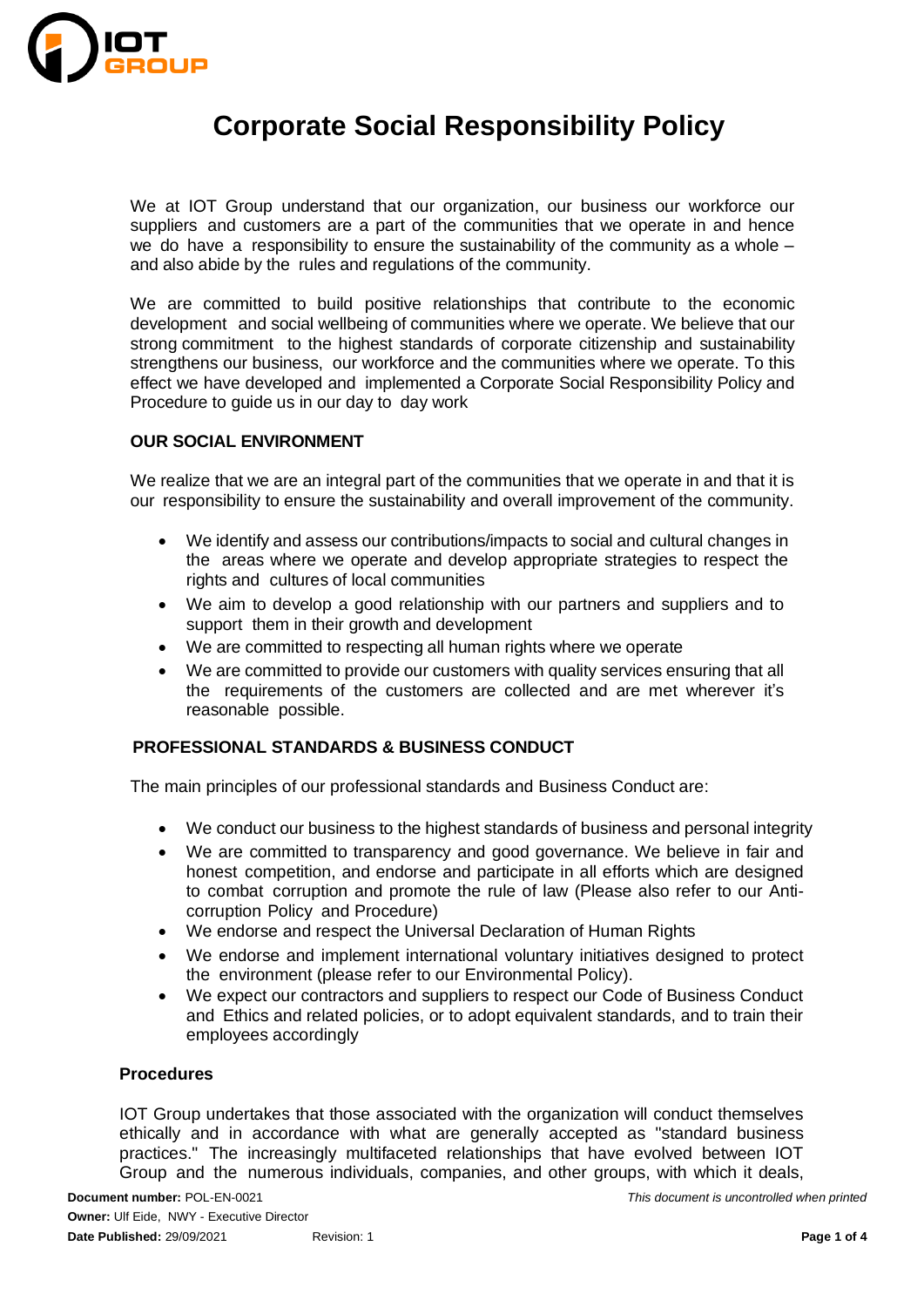

We at IOT Group understand that our organization, our business our workforce our suppliers and customers are a part of the communities that we operate in and hence we do have a responsibility to ensure the sustainability of the community as a whole – and also abide by the rules and regulations of the community.

We are committed to build positive relationships that contribute to the economic development and social wellbeing of communities where we operate. We believe that our strong commitment to the highest standards of corporate citizenship and sustainability strengthens our business, our workforce and the communities where we operate. To this effect we have developed and implemented a Corporate Social Responsibility Policy and Procedure to guide us in our day to day work

### **OUR SOCIAL ENVIRONMENT**

We realize that we are an integral part of the communities that we operate in and that it is our responsibility to ensure the sustainability and overall improvement of the community.

- We identify and assess our contributions/impacts to social and cultural changes in the areas where we operate and develop appropriate strategies to respect the rights and cultures of local communities
- We aim to develop a good relationship with our partners and suppliers and to support them in their growth and development
- We are committed to respecting all human rights where we operate
- We are committed to provide our customers with quality services ensuring that all the requirements of the customers are collected and are met wherever it's reasonable possible.

### **PROFESSIONAL STANDARDS & BUSINESS CONDUCT**

The main principles of our professional standards and Business Conduct are:

- We conduct our business to the highest standards of business and personal integrity
- We are committed to transparency and good governance. We believe in fair and honest competition, and endorse and participate in all efforts which are designed to combat corruption and promote the rule of law (Please also refer to our Anticorruption Policy and Procedure)
- We endorse and respect the Universal Declaration of Human Rights
- We endorse and implement international voluntary initiatives designed to protect the environment (please refer to our Environmental Policy).
- We expect our contractors and suppliers to respect our Code of Business Conduct and Ethics and related policies, or to adopt equivalent standards, and to train their employees accordingly

### **Procedures**

IOT Group undertakes that those associated with the organization will conduct themselves ethically and in accordance with what are generally accepted as "standard business practices." The increasingly multifaceted relationships that have evolved between IOT Group and the numerous individuals, companies, and other groups, with which it deals,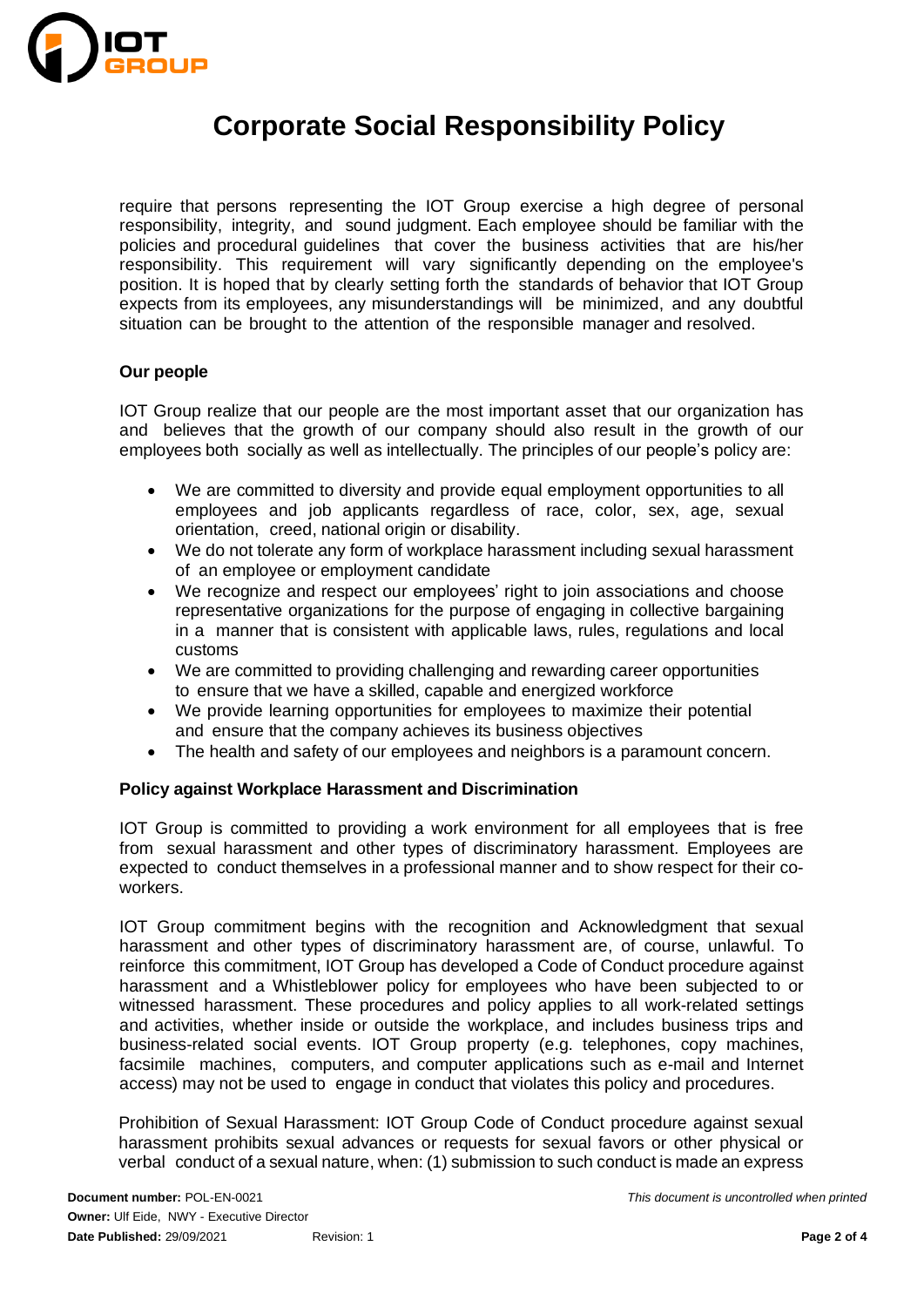

require that persons representing the IOT Group exercise a high degree of personal responsibility, integrity, and sound judgment. Each employee should be familiar with the policies and procedural guidelines that cover the business activities that are his/her responsibility. This requirement will vary significantly depending on the employee's position. It is hoped that by clearly setting forth the standards of behavior that IOT Group expects from its employees, any misunderstandings will be minimized, and any doubtful situation can be brought to the attention of the responsible manager and resolved.

### **Our people**

IOT Group realize that our people are the most important asset that our organization has and believes that the growth of our company should also result in the growth of our employees both socially as well as intellectually. The principles of our people's policy are:

- We are committed to diversity and provide equal employment opportunities to all employees and job applicants regardless of race, color, sex, age, sexual orientation, creed, national origin or disability.
- We do not tolerate any form of workplace harassment including sexual harassment of an employee or employment candidate
- We recognize and respect our employees' right to join associations and choose representative organizations for the purpose of engaging in collective bargaining in a manner that is consistent with applicable laws, rules, regulations and local customs
- We are committed to providing challenging and rewarding career opportunities to ensure that we have a skilled, capable and energized workforce
- We provide learning opportunities for employees to maximize their potential and ensure that the company achieves its business objectives
- The health and safety of our employees and neighbors is a paramount concern.

#### **Policy against Workplace Harassment and Discrimination**

IOT Group is committed to providing a work environment for all employees that is free from sexual harassment and other types of discriminatory harassment. Employees are expected to conduct themselves in a professional manner and to show respect for their coworkers.

IOT Group commitment begins with the recognition and Acknowledgment that sexual harassment and other types of discriminatory harassment are, of course, unlawful. To reinforce this commitment, IOT Group has developed a Code of Conduct procedure against harassment and a Whistleblower policy for employees who have been subjected to or witnessed harassment. These procedures and policy applies to all work-related settings and activities, whether inside or outside the workplace, and includes business trips and business-related social events. IOT Group property (e.g. telephones, copy machines, facsimile machines, computers, and computer applications such as e-mail and Internet access) may not be used to engage in conduct that violates this policy and procedures.

Prohibition of Sexual Harassment: IOT Group Code of Conduct procedure against sexual harassment prohibits sexual advances or requests for sexual favors or other physical or verbal conduct of a sexual nature, when: (1) submission to such conduct is made an express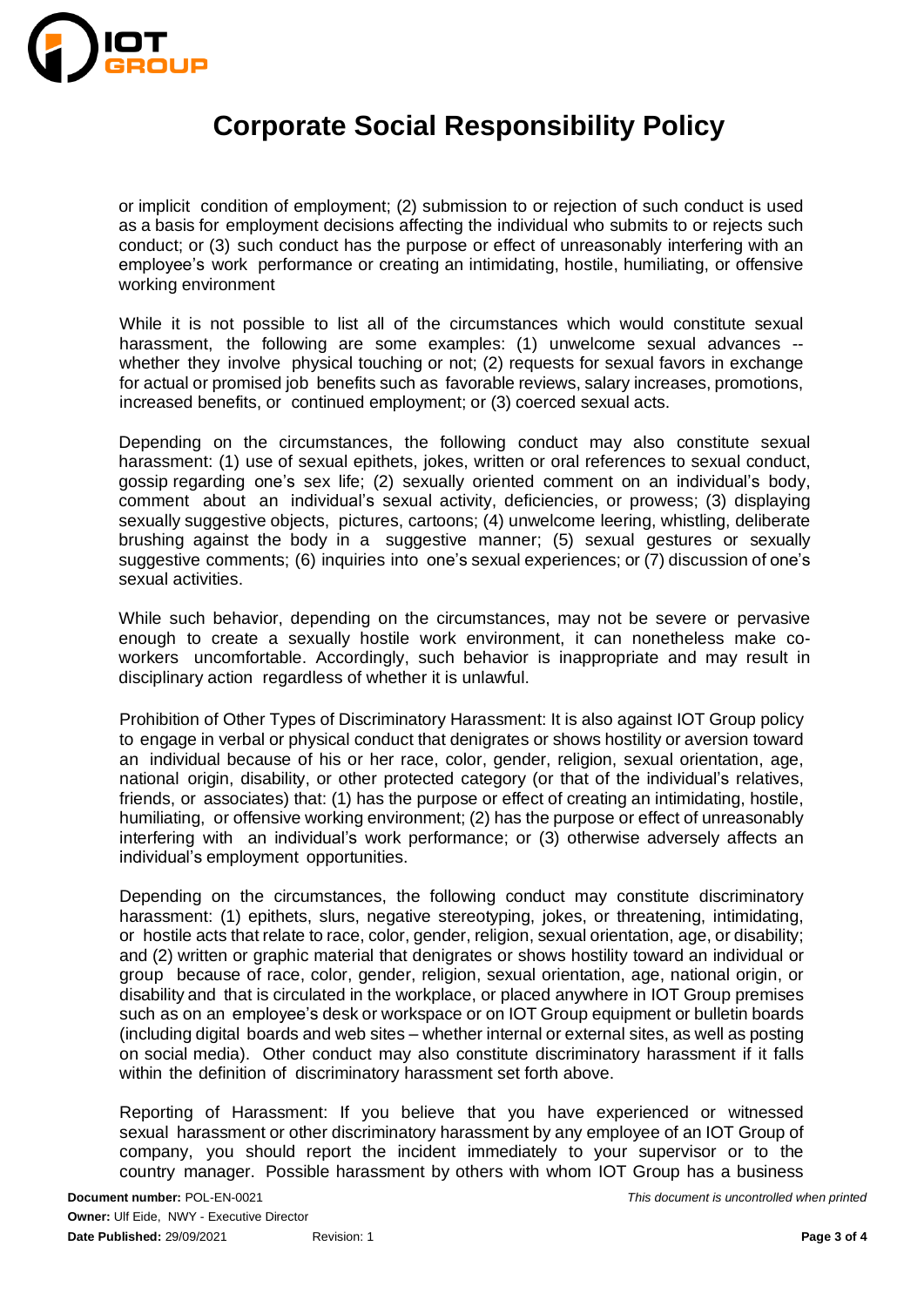

or implicit condition of employment; (2) submission to or rejection of such conduct is used as a basis for employment decisions affecting the individual who submits to or rejects such conduct; or (3) such conduct has the purpose or effect of unreasonably interfering with an employee's work performance or creating an intimidating, hostile, humiliating, or offensive working environment

While it is not possible to list all of the circumstances which would constitute sexual harassment, the following are some examples: (1) unwelcome sexual advances - whether they involve physical touching or not; (2) requests for sexual favors in exchange for actual or promised job benefits such as favorable reviews, salary increases, promotions, increased benefits, or continued employment; or (3) coerced sexual acts.

Depending on the circumstances, the following conduct may also constitute sexual harassment: (1) use of sexual epithets, jokes, written or oral references to sexual conduct, gossip regarding one's sex life; (2) sexually oriented comment on an individual's body, comment about an individual's sexual activity, deficiencies, or prowess; (3) displaying sexually suggestive objects, pictures, cartoons; (4) unwelcome leering, whistling, deliberate brushing against the body in a suggestive manner; (5) sexual gestures or sexually suggestive comments; (6) inquiries into one's sexual experiences; or (7) discussion of one's sexual activities.

While such behavior, depending on the circumstances, may not be severe or pervasive enough to create a sexually hostile work environment, it can nonetheless make coworkers uncomfortable. Accordingly, such behavior is inappropriate and may result in disciplinary action regardless of whether it is unlawful.

Prohibition of Other Types of Discriminatory Harassment: It is also against IOT Group policy to engage in verbal or physical conduct that denigrates or shows hostility or aversion toward an individual because of his or her race, color, gender, religion, sexual orientation, age, national origin, disability, or other protected category (or that of the individual's relatives, friends, or associates) that: (1) has the purpose or effect of creating an intimidating, hostile, humiliating, or offensive working environment; (2) has the purpose or effect of unreasonably interfering with an individual's work performance; or (3) otherwise adversely affects an individual's employment opportunities.

Depending on the circumstances, the following conduct may constitute discriminatory harassment: (1) epithets, slurs, negative stereotyping, jokes, or threatening, intimidating, or hostile acts that relate to race, color, gender, religion, sexual orientation, age, or disability; and (2) written or graphic material that denigrates or shows hostility toward an individual or group because of race, color, gender, religion, sexual orientation, age, national origin, or disability and that is circulated in the workplace, or placed anywhere in IOT Group premises such as on an employee's desk or workspace or on IOT Group equipment or bulletin boards (including digital boards and web sites – whether internal or external sites, as well as posting on social media). Other conduct may also constitute discriminatory harassment if it falls within the definition of discriminatory harassment set forth above.

Reporting of Harassment: If you believe that you have experienced or witnessed sexual harassment or other discriminatory harassment by any employee of an IOT Group of company, you should report the incident immediately to your supervisor or to the country manager. Possible harassment by others with whom IOT Group has a business